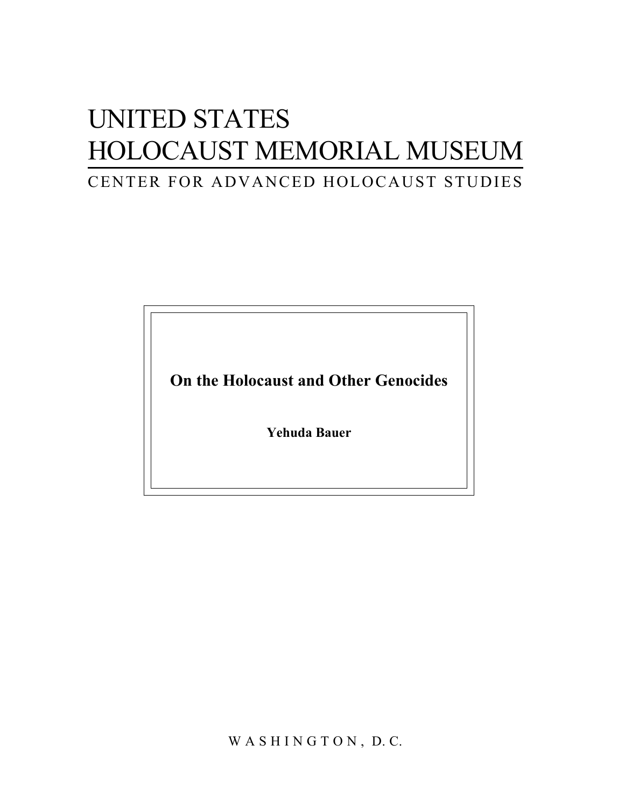## UNITED STATES HOLOCAUST MEMORIAL MUSEUM CENTER FOR ADVANCED HOLOCAUST STUDIES

**On the Holocaust and Other Genocides** 

**Yehuda Bauer** 

WASHINGTON, D.C.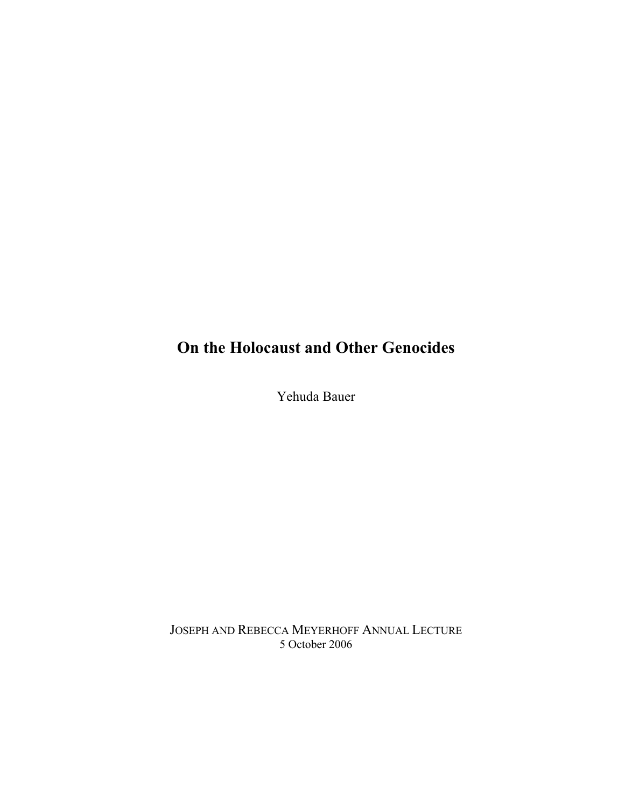## **On the Holocaust and Other Genocides**

Yehuda Bauer

JOSEPH AND REBECCA MEYERHOFF ANNUAL LECTURE 5 October 2006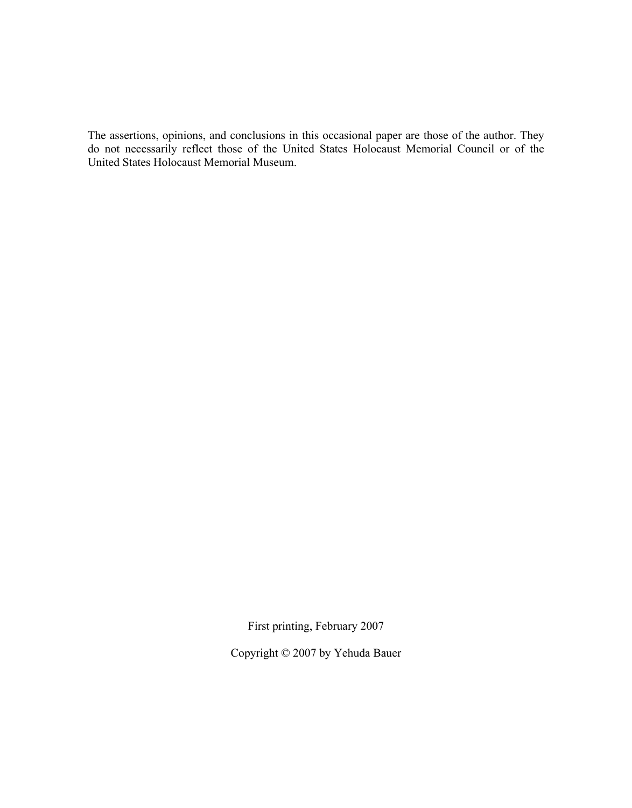The assertions, opinions, and conclusions in this occasional paper are those of the author. They do not necessarily reflect those of the United States Holocaust Memorial Council or of the United States Holocaust Memorial Museum.

First printing, February 2007

Copyright © 2007 by Yehuda Bauer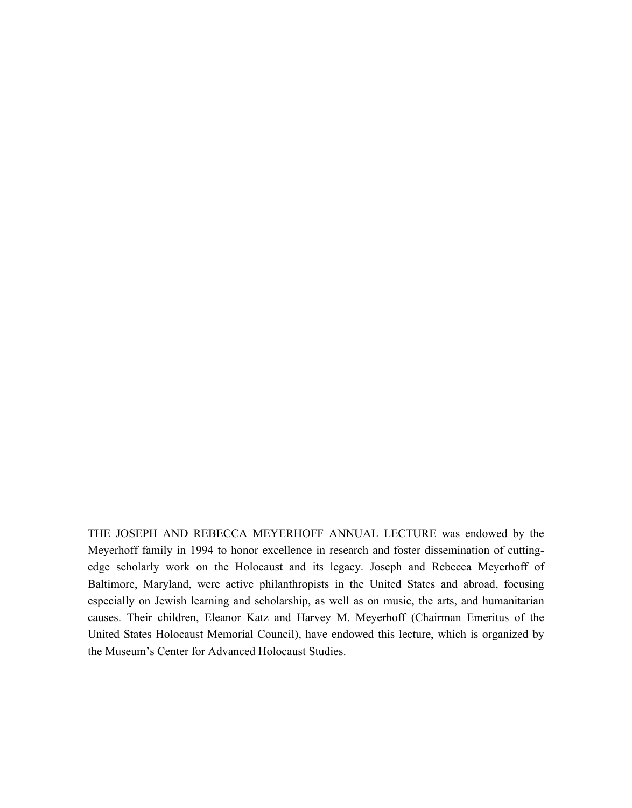THE JOSEPH AND REBECCA MEYERHOFF ANNUAL LECTURE was endowed by the Meyerhoff family in 1994 to honor excellence in research and foster dissemination of cuttingedge scholarly work on the Holocaust and its legacy. Joseph and Rebecca Meyerhoff of Baltimore, Maryland, were active philanthropists in the United States and abroad, focusing especially on Jewish learning and scholarship, as well as on music, the arts, and humanitarian causes. Their children, Eleanor Katz and Harvey M. Meyerhoff (Chairman Emeritus of the United States Holocaust Memorial Council), have endowed this lecture, which is organized by the Museum's Center for Advanced Holocaust Studies.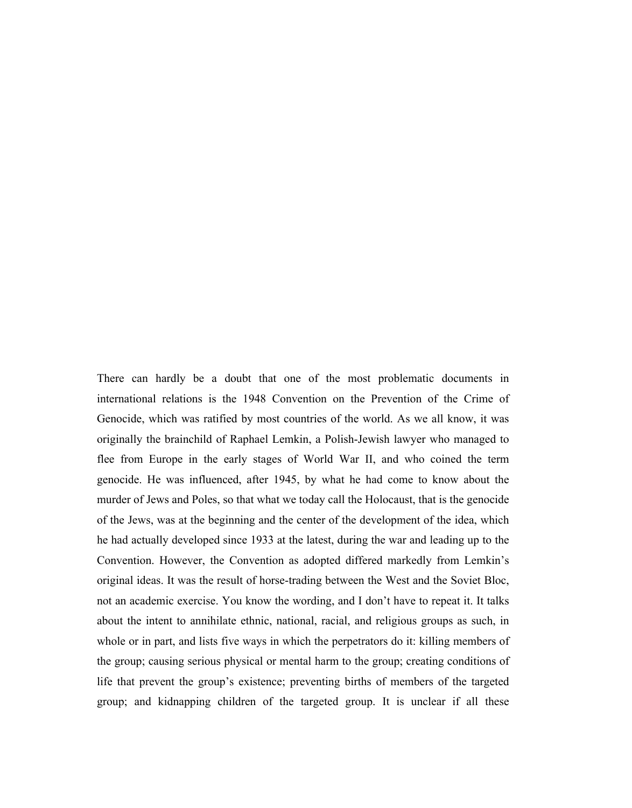There can hardly be a doubt that one of the most problematic documents in international relations is the 1948 Convention on the Prevention of the Crime of Genocide, which was ratified by most countries of the world. As we all know, it was originally the brainchild of Raphael Lemkin, a Polish-Jewish lawyer who managed to flee from Europe in the early stages of World War II, and who coined the term genocide. He was influenced, after 1945, by what he had come to know about the murder of Jews and Poles, so that what we today call the Holocaust, that is the genocide of the Jews, was at the beginning and the center of the development of the idea, which he had actually developed since 1933 at the latest, during the war and leading up to the Convention. However, the Convention as adopted differed markedly from Lemkin's original ideas. It was the result of horse-trading between the West and the Soviet Bloc, not an academic exercise. You know the wording, and I don't have to repeat it. It talks about the intent to annihilate ethnic, national, racial, and religious groups as such, in whole or in part, and lists five ways in which the perpetrators do it: killing members of the group; causing serious physical or mental harm to the group; creating conditions of life that prevent the group's existence; preventing births of members of the targeted group; and kidnapping children of the targeted group. It is unclear if all these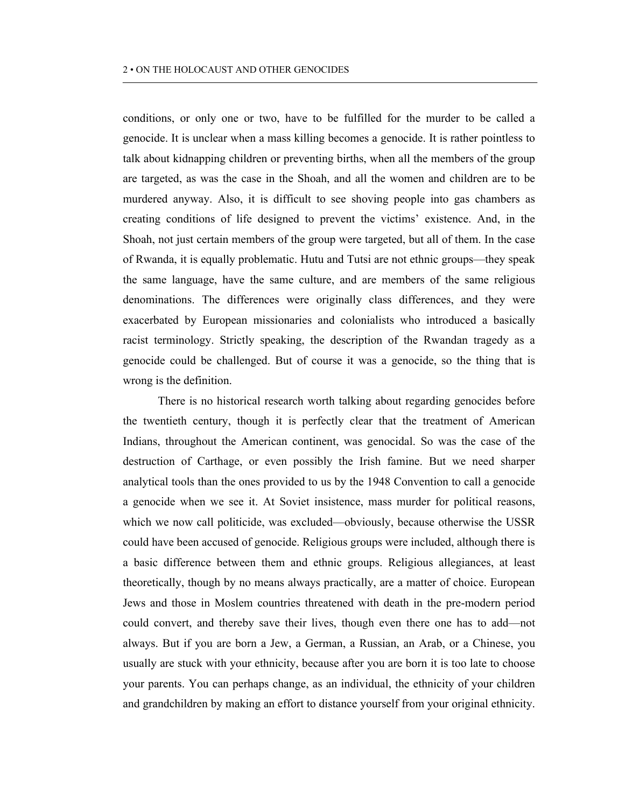conditions, or only one or two, have to be fulfilled for the murder to be called a genocide. It is unclear when a mass killing becomes a genocide. It is rather pointless to talk about kidnapping children or preventing births, when all the members of the group are targeted, as was the case in the Shoah, and all the women and children are to be murdered anyway. Also, it is difficult to see shoving people into gas chambers as creating conditions of life designed to prevent the victims' existence. And, in the Shoah, not just certain members of the group were targeted, but all of them. In the case of Rwanda, it is equally problematic. Hutu and Tutsi are not ethnic groups—they speak the same language, have the same culture, and are members of the same religious denominations. The differences were originally class differences, and they were exacerbated by European missionaries and colonialists who introduced a basically racist terminology. Strictly speaking, the description of the Rwandan tragedy as a genocide could be challenged. But of course it was a genocide, so the thing that is wrong is the definition.

There is no historical research worth talking about regarding genocides before the twentieth century, though it is perfectly clear that the treatment of American Indians, throughout the American continent, was genocidal. So was the case of the destruction of Carthage, or even possibly the Irish famine. But we need sharper analytical tools than the ones provided to us by the 1948 Convention to call a genocide a genocide when we see it. At Soviet insistence, mass murder for political reasons, which we now call politicide, was excluded—obviously, because otherwise the USSR could have been accused of genocide. Religious groups were included, although there is a basic difference between them and ethnic groups. Religious allegiances, at least theoretically, though by no means always practically, are a matter of choice. European Jews and those in Moslem countries threatened with death in the pre-modern period could convert, and thereby save their lives, though even there one has to add—not always. But if you are born a Jew, a German, a Russian, an Arab, or a Chinese, you usually are stuck with your ethnicity, because after you are born it is too late to choose your parents. You can perhaps change, as an individual, the ethnicity of your children and grandchildren by making an effort to distance yourself from your original ethnicity.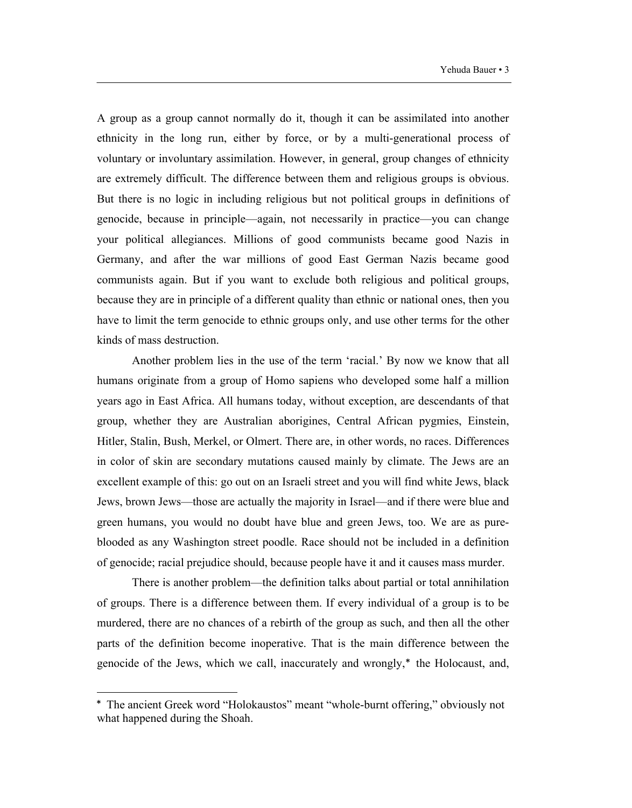A group as a group cannot normally do it, though it can be assimilated into another ethnicity in the long run, either by force, or by a multi-generational process of voluntary or involuntary assimilation. However, in general, group changes of ethnicity are extremely difficult. The difference between them and religious groups is obvious. But there is no logic in including religious but not political groups in definitions of genocide, because in principle—again, not necessarily in practice—you can change your political allegiances. Millions of good communists became good Nazis in Germany, and after the war millions of good East German Nazis became good communists again. But if you want to exclude both religious and political groups, because they are in principle of a different quality than ethnic or national ones, then you have to limit the term genocide to ethnic groups only, and use other terms for the other kinds of mass destruction.

Another problem lies in the use of the term 'racial.' By now we know that all humans originate from a group of Homo sapiens who developed some half a million years ago in East Africa. All humans today, without exception, are descendants of that group, whether they are Australian aborigines, Central African pygmies, Einstein, Hitler, Stalin, Bush, Merkel, or Olmert. There are, in other words, no races. Differences in color of skin are secondary mutations caused mainly by climate. The Jews are an excellent example of this: go out on an Israeli street and you will find white Jews, black Jews, brown Jews—those are actually the majority in Israel—and if there were blue and green humans, you would no doubt have blue and green Jews, too. We are as pureblooded as any Washington street poodle. Race should not be included in a definition of genocide; racial prejudice should, because people have it and it causes mass murder.

There is another problem—the definition talks about partial or total annihilation of groups. There is a difference between them. If every individual of a group is to be murdered, there are no chances of a rebirth of the group as such, and then all the other parts of the definition become inoperative. That is the main difference between the genocide of the Jews, which we call, inaccurately and wrongly, the Holocaust, and,

1

The ancient Greek word "Holokaustos" meant "whole-burnt offering," obviously not what happened during the Shoah.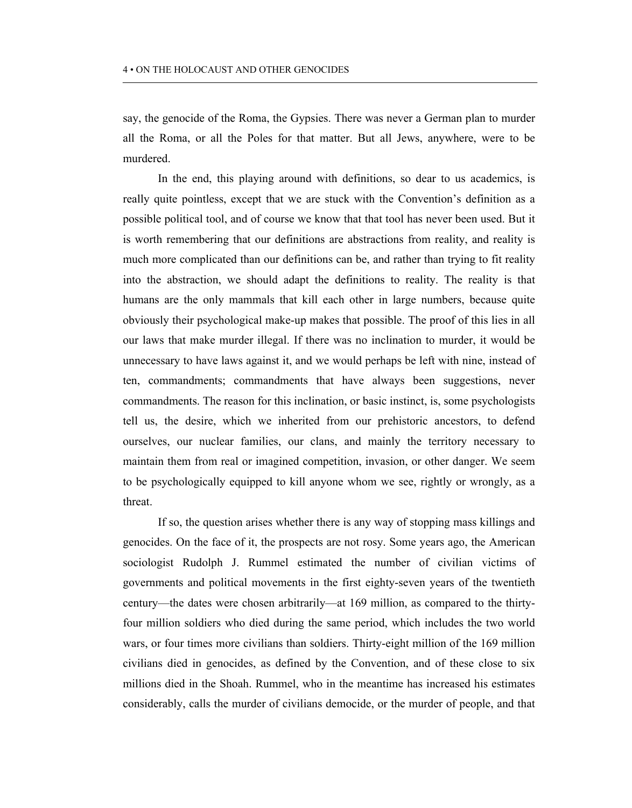say, the genocide of the Roma, the Gypsies. There was never a German plan to murder all the Roma, or all the Poles for that matter. But all Jews, anywhere, were to be murdered.

In the end, this playing around with definitions, so dear to us academics, is really quite pointless, except that we are stuck with the Convention's definition as a possible political tool, and of course we know that that tool has never been used. But it is worth remembering that our definitions are abstractions from reality, and reality is much more complicated than our definitions can be, and rather than trying to fit reality into the abstraction, we should adapt the definitions to reality. The reality is that humans are the only mammals that kill each other in large numbers, because quite obviously their psychological make-up makes that possible. The proof of this lies in all our laws that make murder illegal. If there was no inclination to murder, it would be unnecessary to have laws against it, and we would perhaps be left with nine, instead of ten, commandments; commandments that have always been suggestions, never commandments. The reason for this inclination, or basic instinct, is, some psychologists tell us, the desire, which we inherited from our prehistoric ancestors, to defend ourselves, our nuclear families, our clans, and mainly the territory necessary to maintain them from real or imagined competition, invasion, or other danger. We seem to be psychologically equipped to kill anyone whom we see, rightly or wrongly, as a threat.

If so, the question arises whether there is any way of stopping mass killings and genocides. On the face of it, the prospects are not rosy. Some years ago, the American sociologist Rudolph J. Rummel estimated the number of civilian victims of governments and political movements in the first eighty-seven years of the twentieth century—the dates were chosen arbitrarily—at 169 million, as compared to the thirtyfour million soldiers who died during the same period, which includes the two world wars, or four times more civilians than soldiers. Thirty-eight million of the 169 million civilians died in genocides, as defined by the Convention, and of these close to six millions died in the Shoah. Rummel, who in the meantime has increased his estimates considerably, calls the murder of civilians democide, or the murder of people, and that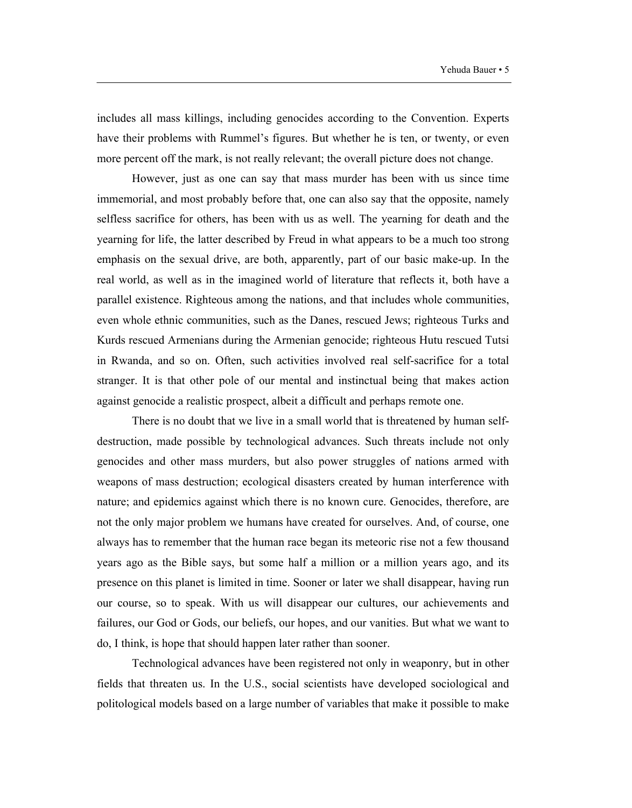includes all mass killings, including genocides according to the Convention. Experts have their problems with Rummel's figures. But whether he is ten, or twenty, or even more percent off the mark, is not really relevant; the overall picture does not change.

However, just as one can say that mass murder has been with us since time immemorial, and most probably before that, one can also say that the opposite, namely selfless sacrifice for others, has been with us as well. The yearning for death and the yearning for life, the latter described by Freud in what appears to be a much too strong emphasis on the sexual drive, are both, apparently, part of our basic make-up. In the real world, as well as in the imagined world of literature that reflects it, both have a parallel existence. Righteous among the nations, and that includes whole communities, even whole ethnic communities, such as the Danes, rescued Jews; righteous Turks and Kurds rescued Armenians during the Armenian genocide; righteous Hutu rescued Tutsi in Rwanda, and so on. Often, such activities involved real self-sacrifice for a total stranger. It is that other pole of our mental and instinctual being that makes action against genocide a realistic prospect, albeit a difficult and perhaps remote one.

There is no doubt that we live in a small world that is threatened by human selfdestruction, made possible by technological advances. Such threats include not only genocides and other mass murders, but also power struggles of nations armed with weapons of mass destruction; ecological disasters created by human interference with nature; and epidemics against which there is no known cure. Genocides, therefore, are not the only major problem we humans have created for ourselves. And, of course, one always has to remember that the human race began its meteoric rise not a few thousand years ago as the Bible says, but some half a million or a million years ago, and its presence on this planet is limited in time. Sooner or later we shall disappear, having run our course, so to speak. With us will disappear our cultures, our achievements and failures, our God or Gods, our beliefs, our hopes, and our vanities. But what we want to do, I think, is hope that should happen later rather than sooner.

Technological advances have been registered not only in weaponry, but in other fields that threaten us. In the U.S., social scientists have developed sociological and politological models based on a large number of variables that make it possible to make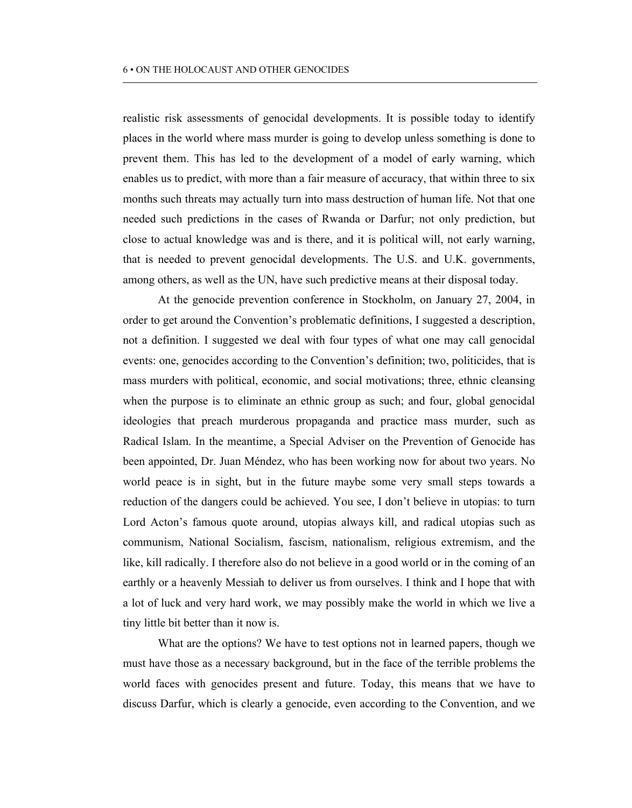realistic risk assessments of genocidal developments. It is possible today to identify places in the world where mass murder is going to develop unless something is done to prevent them. This has led to the development of a model of early warning, which enables us to predict, with more than a fair measure of accuracy, that within three to six months such threats may actually turn into mass destruction of human life. Not that one needed such predictions in the cases of Rwanda or Darfur; not only prediction, but close to actual knowledge was and is there, and it is political will, not early warning, that is needed to prevent genocidal developments. The U.S. and U.K. governments, among others, as well as the UN, have such predictive means at their disposal today.

At the genocide prevention conference in Stockholm, on January 27, 2004, in order to get around the Convention's problematic definitions, I suggested a description, not a definition. I suggested we deal with four types of what one may call genocidal events: one, genocides according to the Convention's definition; two, politicides, that is mass murders with political, economic, and social motivations; three, ethnic cleansing when the purpose is to eliminate an ethnic group as such; and four, global genocidal ideologies that preach murderous propaganda and practice mass murder, such as Radical Islam. In the meantime, a Special Adviser on the Prevention of Genocide has been appointed, Dr. Juan Méndez, who has been working now for about two years. No world peace is in sight, but in the future maybe some very small steps towards a reduction of the dangers could be achieved. You see, I don't believe in utopias: to turn Lord Acton's famous quote around, utopias always kill, and radical utopias such as communism, National Socialism, fascism, nationalism, religious extremism, and the like, kill radically. I therefore also do not believe in a good world or in the coming of an earthly or a heavenly Messiah to deliver us from ourselves. I think and I hope that with a lot of luck and very hard work, we may possibly make the world in which we live a tiny little bit better than it now is.

What are the options? We have to test options not in learned papers, though we must have those as a necessary background, but in the face of the terrible problems the world faces with genocides present and future. Today, this means that we have to discuss Darfur, which is clearly a genocide, even according to the Convention, and we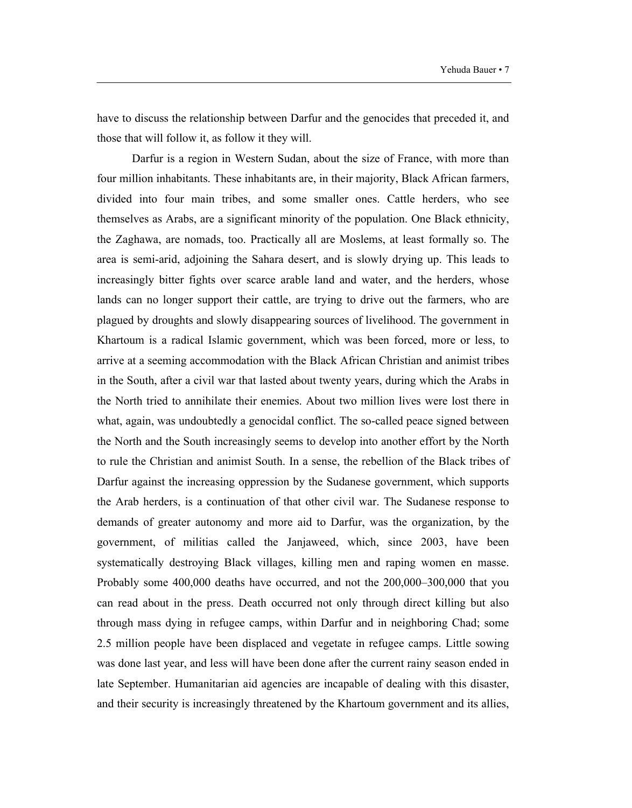have to discuss the relationship between Darfur and the genocides that preceded it, and those that will follow it, as follow it they will.

Darfur is a region in Western Sudan, about the size of France, with more than four million inhabitants. These inhabitants are, in their majority, Black African farmers, divided into four main tribes, and some smaller ones. Cattle herders, who see themselves as Arabs, are a significant minority of the population. One Black ethnicity, the Zaghawa, are nomads, too. Practically all are Moslems, at least formally so. The area is semi-arid, adjoining the Sahara desert, and is slowly drying up. This leads to increasingly bitter fights over scarce arable land and water, and the herders, whose lands can no longer support their cattle, are trying to drive out the farmers, who are plagued by droughts and slowly disappearing sources of livelihood. The government in Khartoum is a radical Islamic government, which was been forced, more or less, to arrive at a seeming accommodation with the Black African Christian and animist tribes in the South, after a civil war that lasted about twenty years, during which the Arabs in the North tried to annihilate their enemies. About two million lives were lost there in what, again, was undoubtedly a genocidal conflict. The so-called peace signed between the North and the South increasingly seems to develop into another effort by the North to rule the Christian and animist South. In a sense, the rebellion of the Black tribes of Darfur against the increasing oppression by the Sudanese government, which supports the Arab herders, is a continuation of that other civil war. The Sudanese response to demands of greater autonomy and more aid to Darfur, was the organization, by the government, of militias called the Janjaweed, which, since 2003, have been systematically destroying Black villages, killing men and raping women en masse. Probably some 400,000 deaths have occurred, and not the 200,000–300,000 that you can read about in the press. Death occurred not only through direct killing but also through mass dying in refugee camps, within Darfur and in neighboring Chad; some 2.5 million people have been displaced and vegetate in refugee camps. Little sowing was done last year, and less will have been done after the current rainy season ended in late September. Humanitarian aid agencies are incapable of dealing with this disaster, and their security is increasingly threatened by the Khartoum government and its allies,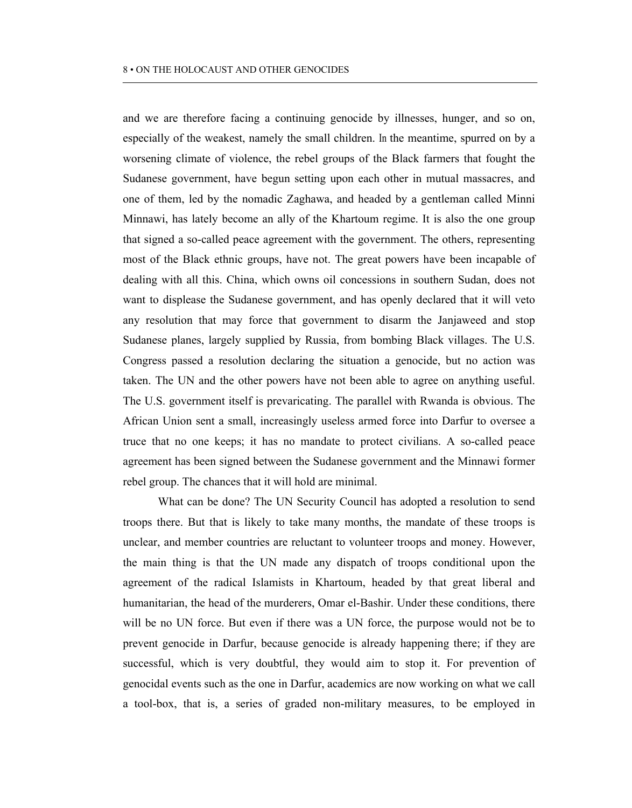and we are therefore facing a continuing genocide by illnesses, hunger, and so on, especially of the weakest, namely the small children. In the meantime, spurred on by a worsening climate of violence, the rebel groups of the Black farmers that fought the Sudanese government, have begun setting upon each other in mutual massacres, and one of them, led by the nomadic Zaghawa, and headed by a gentleman called Minni Minnawi, has lately become an ally of the Khartoum regime. It is also the one group that signed a so-called peace agreement with the government. The others, representing most of the Black ethnic groups, have not. The great powers have been incapable of dealing with all this. China, which owns oil concessions in southern Sudan, does not want to displease the Sudanese government, and has openly declared that it will veto any resolution that may force that government to disarm the Janjaweed and stop Sudanese planes, largely supplied by Russia, from bombing Black villages. The U.S. Congress passed a resolution declaring the situation a genocide, but no action was taken. The UN and the other powers have not been able to agree on anything useful. The U.S. government itself is prevaricating. The parallel with Rwanda is obvious. The African Union sent a small, increasingly useless armed force into Darfur to oversee a truce that no one keeps; it has no mandate to protect civilians. A so-called peace agreement has been signed between the Sudanese government and the Minnawi former rebel group. The chances that it will hold are minimal.

What can be done? The UN Security Council has adopted a resolution to send troops there. But that is likely to take many months, the mandate of these troops is unclear, and member countries are reluctant to volunteer troops and money. However, the main thing is that the UN made any dispatch of troops conditional upon the agreement of the radical Islamists in Khartoum, headed by that great liberal and humanitarian, the head of the murderers, Omar el-Bashir. Under these conditions, there will be no UN force. But even if there was a UN force, the purpose would not be to prevent genocide in Darfur, because genocide is already happening there; if they are successful, which is very doubtful, they would aim to stop it. For prevention of genocidal events such as the one in Darfur, academics are now working on what we call a tool-box, that is, a series of graded non-military measures, to be employed in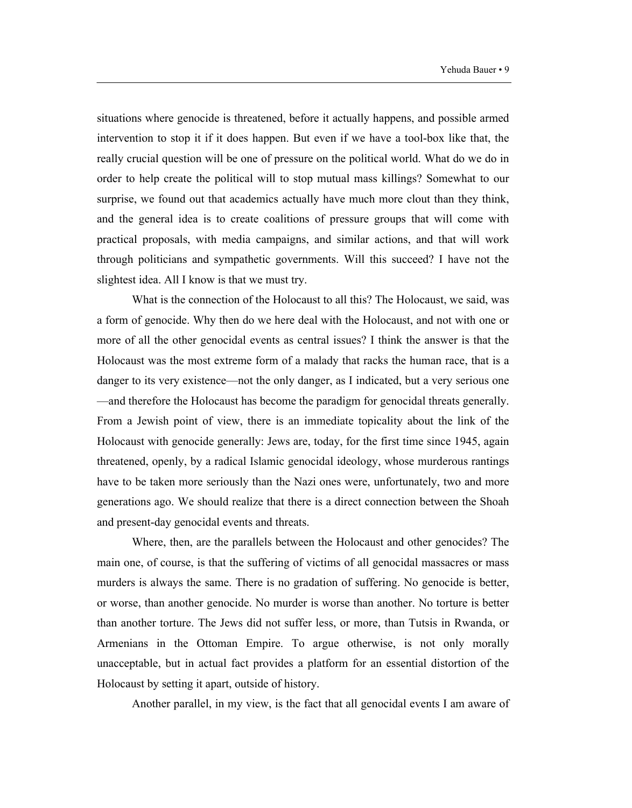situations where genocide is threatened, before it actually happens, and possible armed intervention to stop it if it does happen. But even if we have a tool-box like that, the really crucial question will be one of pressure on the political world. What do we do in order to help create the political will to stop mutual mass killings? Somewhat to our surprise, we found out that academics actually have much more clout than they think, and the general idea is to create coalitions of pressure groups that will come with practical proposals, with media campaigns, and similar actions, and that will work through politicians and sympathetic governments. Will this succeed? I have not the slightest idea. All I know is that we must try.

What is the connection of the Holocaust to all this? The Holocaust, we said, was a form of genocide. Why then do we here deal with the Holocaust, and not with one or more of all the other genocidal events as central issues? I think the answer is that the Holocaust was the most extreme form of a malady that racks the human race, that is a danger to its very existence—not the only danger, as I indicated, but a very serious one —and therefore the Holocaust has become the paradigm for genocidal threats generally. From a Jewish point of view, there is an immediate topicality about the link of the Holocaust with genocide generally: Jews are, today, for the first time since 1945, again threatened, openly, by a radical Islamic genocidal ideology, whose murderous rantings have to be taken more seriously than the Nazi ones were, unfortunately, two and more generations ago. We should realize that there is a direct connection between the Shoah and present-day genocidal events and threats.

Where, then, are the parallels between the Holocaust and other genocides? The main one, of course, is that the suffering of victims of all genocidal massacres or mass murders is always the same. There is no gradation of suffering. No genocide is better, or worse, than another genocide. No murder is worse than another. No torture is better than another torture. The Jews did not suffer less, or more, than Tutsis in Rwanda, or Armenians in the Ottoman Empire. To argue otherwise, is not only morally unacceptable, but in actual fact provides a platform for an essential distortion of the Holocaust by setting it apart, outside of history.

Another parallel, in my view, is the fact that all genocidal events I am aware of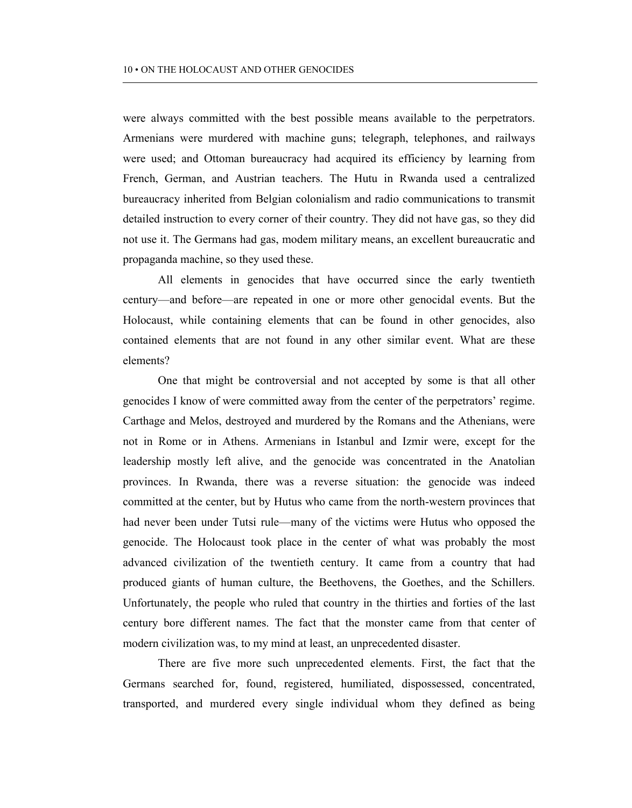were always committed with the best possible means available to the perpetrators. Armenians were murdered with machine guns; telegraph, telephones, and railways were used; and Ottoman bureaucracy had acquired its efficiency by learning from French, German, and Austrian teachers. The Hutu in Rwanda used a centralized bureaucracy inherited from Belgian colonialism and radio communications to transmit detailed instruction to every corner of their country. They did not have gas, so they did not use it. The Germans had gas, modem military means, an excellent bureaucratic and propaganda machine, so they used these.

All elements in genocides that have occurred since the early twentieth century—and before—are repeated in one or more other genocidal events. But the Holocaust, while containing elements that can be found in other genocides, also contained elements that are not found in any other similar event. What are these elements?

One that might be controversial and not accepted by some is that all other genocides I know of were committed away from the center of the perpetrators' regime. Carthage and Melos, destroyed and murdered by the Romans and the Athenians, were not in Rome or in Athens. Armenians in Istanbul and Izmir were, except for the leadership mostly left alive, and the genocide was concentrated in the Anatolian provinces. In Rwanda, there was a reverse situation: the genocide was indeed committed at the center, but by Hutus who came from the north-western provinces that had never been under Tutsi rule—many of the victims were Hutus who opposed the genocide. The Holocaust took place in the center of what was probably the most advanced civilization of the twentieth century. It came from a country that had produced giants of human culture, the Beethovens, the Goethes, and the Schillers. Unfortunately, the people who ruled that country in the thirties and forties of the last century bore different names. The fact that the monster came from that center of modern civilization was, to my mind at least, an unprecedented disaster.

There are five more such unprecedented elements. First, the fact that the Germans searched for, found, registered, humiliated, dispossessed, concentrated, transported, and murdered every single individual whom they defined as being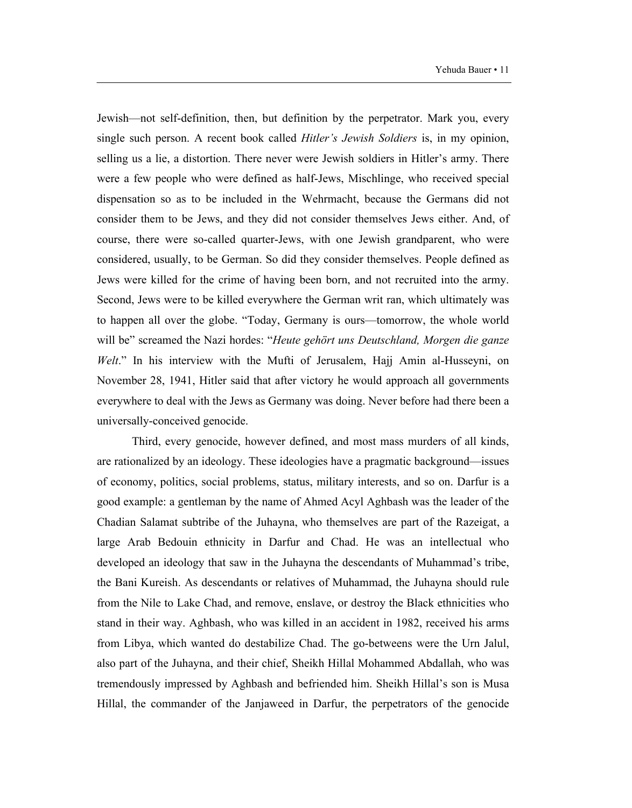Jewish—not self-definition, then, but definition by the perpetrator. Mark you, every single such person. A recent book called *Hitler's Jewish Soldiers* is, in my opinion, selling us a lie, a distortion. There never were Jewish soldiers in Hitler's army. There were a few people who were defined as half-Jews, Mischlinge, who received special dispensation so as to be included in the Wehrmacht, because the Germans did not consider them to be Jews, and they did not consider themselves Jews either. And, of course, there were so-called quarter-Jews, with one Jewish grandparent, who were considered, usually, to be German. So did they consider themselves. People defined as Jews were killed for the crime of having been born, and not recruited into the army. Second, Jews were to be killed everywhere the German writ ran, which ultimately was to happen all over the globe. "Today, Germany is ours—tomorrow, the whole world will be" screamed the Nazi hordes: "*Heute gehört uns Deutschland, Morgen die ganze Welt*." In his interview with the Mufti of Jerusalem, Hajj Amin al-Husseyni, on November 28, 1941, Hitler said that after victory he would approach all governments everywhere to deal with the Jews as Germany was doing. Never before had there been a universally-conceived genocide.

Third, every genocide, however defined, and most mass murders of all kinds, are rationalized by an ideology. These ideologies have a pragmatic background—issues of economy, politics, social problems, status, military interests, and so on. Darfur is a good example: a gentleman by the name of Ahmed Acyl Aghbash was the leader of the Chadian Salamat subtribe of the Juhayna, who themselves are part of the Razeigat, a large Arab Bedouin ethnicity in Darfur and Chad. He was an intellectual who developed an ideology that saw in the Juhayna the descendants of Muhammad's tribe, the Bani Kureish. As descendants or relatives of Muhammad, the Juhayna should rule from the Nile to Lake Chad, and remove, enslave, or destroy the Black ethnicities who stand in their way. Aghbash, who was killed in an accident in 1982, received his arms from Libya, which wanted do destabilize Chad. The go-betweens were the Urn Jalul, also part of the Juhayna, and their chief, Sheikh Hillal Mohammed Abdallah, who was tremendously impressed by Aghbash and befriended him. Sheikh Hillal's son is Musa Hillal, the commander of the Janjaweed in Darfur, the perpetrators of the genocide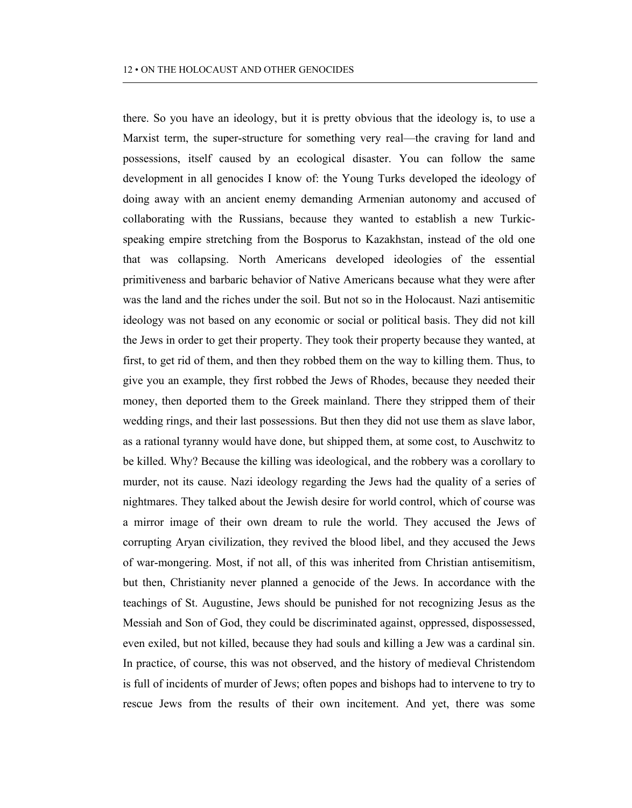there. So you have an ideology, but it is pretty obvious that the ideology is, to use a Marxist term, the super-structure for something very real—the craving for land and possessions, itself caused by an ecological disaster. You can follow the same development in all genocides I know of: the Young Turks developed the ideology of doing away with an ancient enemy demanding Armenian autonomy and accused of collaborating with the Russians, because they wanted to establish a new Turkicspeaking empire stretching from the Bosporus to Kazakhstan, instead of the old one that was collapsing. North Americans developed ideologies of the essential primitiveness and barbaric behavior of Native Americans because what they were after was the land and the riches under the soil. But not so in the Holocaust. Nazi antisemitic ideology was not based on any economic or social or political basis. They did not kill the Jews in order to get their property. They took their property because they wanted, at first, to get rid of them, and then they robbed them on the way to killing them. Thus, to give you an example, they first robbed the Jews of Rhodes, because they needed their money, then deported them to the Greek mainland. There they stripped them of their wedding rings, and their last possessions. But then they did not use them as slave labor, as a rational tyranny would have done, but shipped them, at some cost, to Auschwitz to be killed. Why? Because the killing was ideological, and the robbery was a corollary to murder, not its cause. Nazi ideology regarding the Jews had the quality of a series of nightmares. They talked about the Jewish desire for world control, which of course was a mirror image of their own dream to rule the world. They accused the Jews of corrupting Aryan civilization, they revived the blood libel, and they accused the Jews of war-mongering. Most, if not all, of this was inherited from Christian antisemitism, but then, Christianity never planned a genocide of the Jews. In accordance with the teachings of St. Augustine, Jews should be punished for not recognizing Jesus as the Messiah and Son of God, they could be discriminated against, oppressed, dispossessed, even exiled, but not killed, because they had souls and killing a Jew was a cardinal sin. In practice, of course, this was not observed, and the history of medieval Christendom is full of incidents of murder of Jews; often popes and bishops had to intervene to try to rescue Jews from the results of their own incitement. And yet, there was some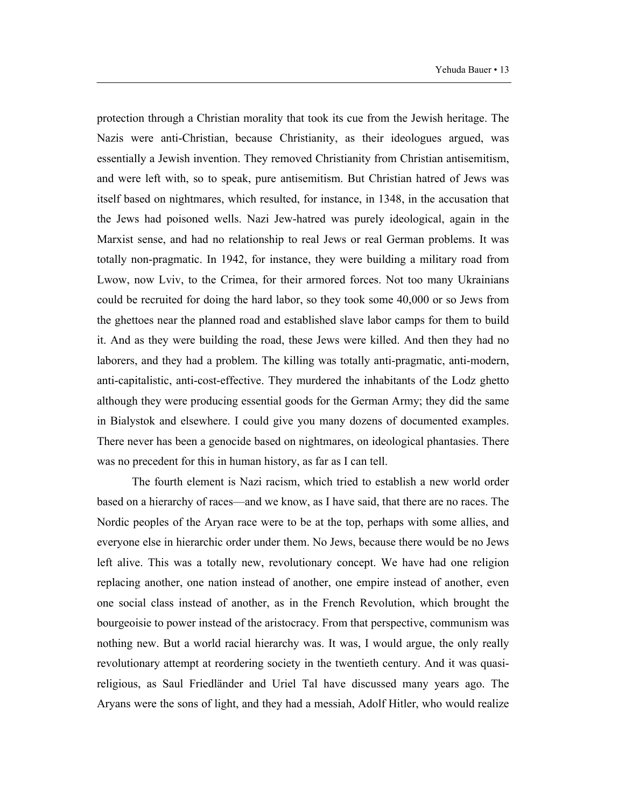protection through a Christian morality that took its cue from the Jewish heritage. The Nazis were anti-Christian, because Christianity, as their ideologues argued, was essentially a Jewish invention. They removed Christianity from Christian antisemitism, and were left with, so to speak, pure antisemitism. But Christian hatred of Jews was itself based on nightmares, which resulted, for instance, in 1348, in the accusation that the Jews had poisoned wells. Nazi Jew-hatred was purely ideological, again in the Marxist sense, and had no relationship to real Jews or real German problems. It was totally non-pragmatic. In 1942, for instance, they were building a military road from Lwow, now Lviv, to the Crimea, for their armored forces. Not too many Ukrainians could be recruited for doing the hard labor, so they took some 40,000 or so Jews from the ghettoes near the planned road and established slave labor camps for them to build it. And as they were building the road, these Jews were killed. And then they had no laborers, and they had a problem. The killing was totally anti-pragmatic, anti-modern, anti-capitalistic, anti-cost-effective. They murdered the inhabitants of the Lodz ghetto although they were producing essential goods for the German Army; they did the same in Bialystok and elsewhere. I could give you many dozens of documented examples. There never has been a genocide based on nightmares, on ideological phantasies. There was no precedent for this in human history, as far as I can tell.

The fourth element is Nazi racism, which tried to establish a new world order based on a hierarchy of races—and we know, as I have said, that there are no races. The Nordic peoples of the Aryan race were to be at the top, perhaps with some allies, and everyone else in hierarchic order under them. No Jews, because there would be no Jews left alive. This was a totally new, revolutionary concept. We have had one religion replacing another, one nation instead of another, one empire instead of another, even one social class instead of another, as in the French Revolution, which brought the bourgeoisie to power instead of the aristocracy. From that perspective, communism was nothing new. But a world racial hierarchy was. It was, I would argue, the only really revolutionary attempt at reordering society in the twentieth century. And it was quasireligious, as Saul Friedländer and Uriel Tal have discussed many years ago. The Aryans were the sons of light, and they had a messiah, Adolf Hitler, who would realize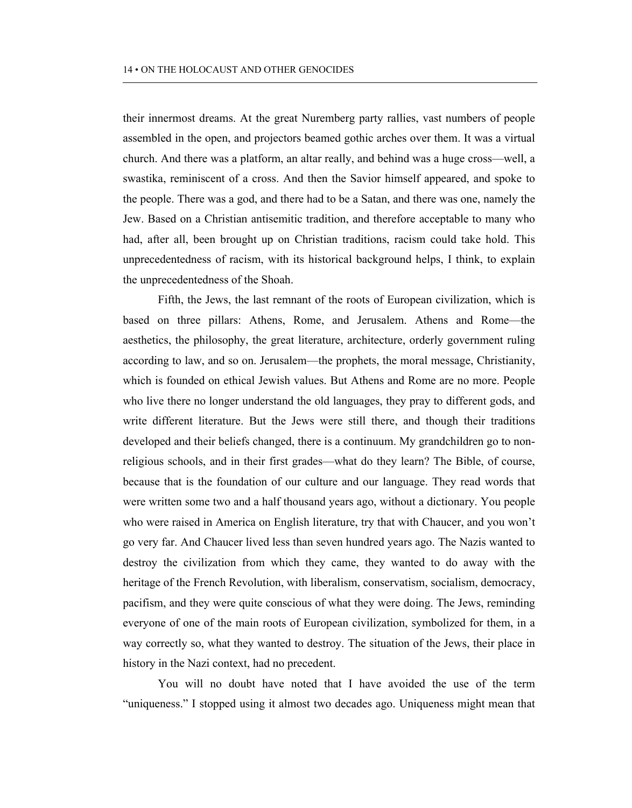their innermost dreams. At the great Nuremberg party rallies, vast numbers of people assembled in the open, and projectors beamed gothic arches over them. It was a virtual church. And there was a platform, an altar really, and behind was a huge cross—well, a swastika, reminiscent of a cross. And then the Savior himself appeared, and spoke to the people. There was a god, and there had to be a Satan, and there was one, namely the Jew. Based on a Christian antisemitic tradition, and therefore acceptable to many who had, after all, been brought up on Christian traditions, racism could take hold. This unprecedentedness of racism, with its historical background helps, I think, to explain the unprecedentedness of the Shoah.

Fifth, the Jews, the last remnant of the roots of European civilization, which is based on three pillars: Athens, Rome, and Jerusalem. Athens and Rome—the aesthetics, the philosophy, the great literature, architecture, orderly government ruling according to law, and so on. Jerusalem—the prophets, the moral message, Christianity, which is founded on ethical Jewish values. But Athens and Rome are no more. People who live there no longer understand the old languages, they pray to different gods, and write different literature. But the Jews were still there, and though their traditions developed and their beliefs changed, there is a continuum. My grandchildren go to nonreligious schools, and in their first grades—what do they learn? The Bible, of course, because that is the foundation of our culture and our language. They read words that were written some two and a half thousand years ago, without a dictionary. You people who were raised in America on English literature, try that with Chaucer, and you won't go very far. And Chaucer lived less than seven hundred years ago. The Nazis wanted to destroy the civilization from which they came, they wanted to do away with the heritage of the French Revolution, with liberalism, conservatism, socialism, democracy, pacifism, and they were quite conscious of what they were doing. The Jews, reminding everyone of one of the main roots of European civilization, symbolized for them, in a way correctly so, what they wanted to destroy. The situation of the Jews, their place in history in the Nazi context, had no precedent.

You will no doubt have noted that I have avoided the use of the term "uniqueness." I stopped using it almost two decades ago. Uniqueness might mean that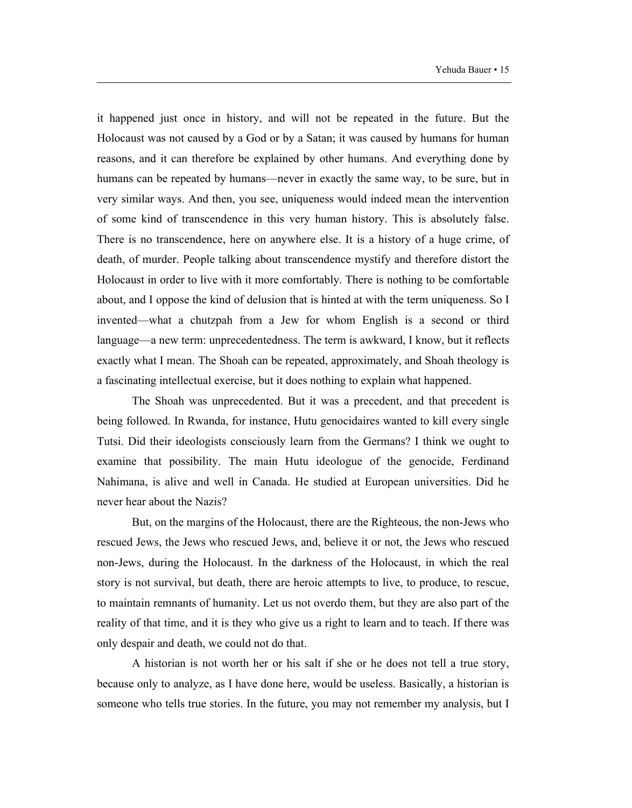it happened just once in history, and will not be repeated in the future. But the Holocaust was not caused by a God or by a Satan; it was caused by humans for human reasons, and it can therefore be explained by other humans. And everything done by humans can be repeated by humans—never in exactly the same way, to be sure, but in very similar ways. And then, you see, uniqueness would indeed mean the intervention of some kind of transcendence in this very human history. This is absolutely false. There is no transcendence, here on anywhere else. It is a history of a huge crime, of death, of murder. People talking about transcendence mystify and therefore distort the Holocaust in order to live with it more comfortably. There is nothing to be comfortable about, and I oppose the kind of delusion that is hinted at with the term uniqueness. So I invented—what a chutzpah from a Jew for whom English is a second or third language—a new term: unprecedentedness. The term is awkward, I know, but it reflects exactly what I mean. The Shoah can be repeated, approximately, and Shoah theology is a fascinating intellectual exercise, but it does nothing to explain what happened.

The Shoah was unprecedented. But it was a precedent, and that precedent is being followed. In Rwanda, for instance, Hutu genocidaires wanted to kill every single Tutsi. Did their ideologists consciously learn from the Germans? I think we ought to examine that possibility. The main Hutu ideologue of the genocide, Ferdinand Nahimana, is alive and well in Canada. He studied at European universities. Did he never hear about the Nazis?

But, on the margins of the Holocaust, there are the Righteous, the non-Jews who rescued Jews, the Jews who rescued Jews, and, believe it or not, the Jews who rescued non-Jews, during the Holocaust. In the darkness of the Holocaust, in which the real story is not survival, but death, there are heroic attempts to live, to produce, to rescue, to maintain remnants of humanity. Let us not overdo them, but they are also part of the reality of that time, and it is they who give us a right to learn and to teach. If there was only despair and death, we could not do that.

A historian is not worth her or his salt if she or he does not tell a true story, because only to analyze, as I have done here, would be useless. Basically, a historian is someone who tells true stories. In the future, you may not remember my analysis, but I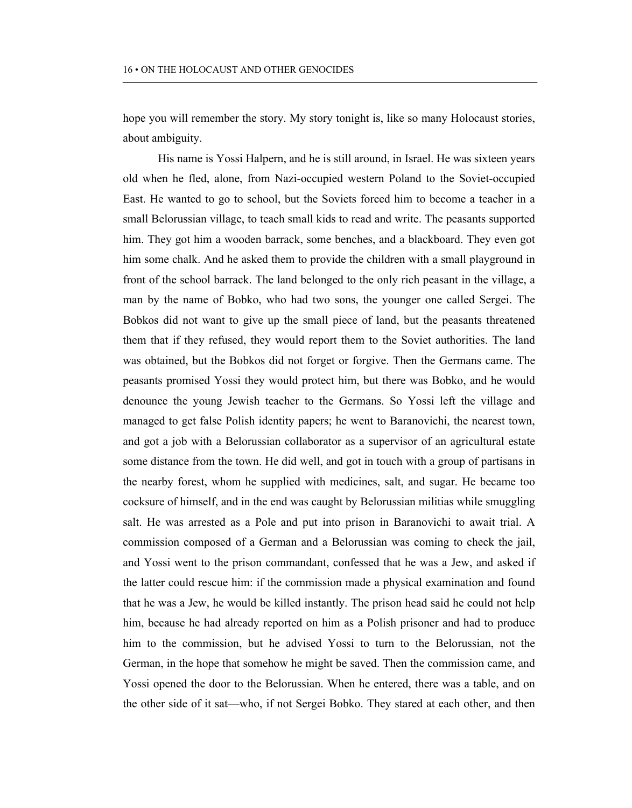hope you will remember the story. My story tonight is, like so many Holocaust stories, about ambiguity.

His name is Yossi Halpern, and he is still around, in Israel. He was sixteen years old when he fled, alone, from Nazi-occupied western Poland to the Soviet-occupied East. He wanted to go to school, but the Soviets forced him to become a teacher in a small Belorussian village, to teach small kids to read and write. The peasants supported him. They got him a wooden barrack, some benches, and a blackboard. They even got him some chalk. And he asked them to provide the children with a small playground in front of the school barrack. The land belonged to the only rich peasant in the village, a man by the name of Bobko, who had two sons, the younger one called Sergei. The Bobkos did not want to give up the small piece of land, but the peasants threatened them that if they refused, they would report them to the Soviet authorities. The land was obtained, but the Bobkos did not forget or forgive. Then the Germans came. The peasants promised Yossi they would protect him, but there was Bobko, and he would denounce the young Jewish teacher to the Germans. So Yossi left the village and managed to get false Polish identity papers; he went to Baranovichi, the nearest town, and got a job with a Belorussian collaborator as a supervisor of an agricultural estate some distance from the town. He did well, and got in touch with a group of partisans in the nearby forest, whom he supplied with medicines, salt, and sugar. He became too cocksure of himself, and in the end was caught by Belorussian militias while smuggling salt. He was arrested as a Pole and put into prison in Baranovichi to await trial. A commission composed of a German and a Belorussian was coming to check the jail, and Yossi went to the prison commandant, confessed that he was a Jew, and asked if the latter could rescue him: if the commission made a physical examination and found that he was a Jew, he would be killed instantly. The prison head said he could not help him, because he had already reported on him as a Polish prisoner and had to produce him to the commission, but he advised Yossi to turn to the Belorussian, not the German, in the hope that somehow he might be saved. Then the commission came, and Yossi opened the door to the Belorussian. When he entered, there was a table, and on the other side of it sat—who, if not Sergei Bobko. They stared at each other, and then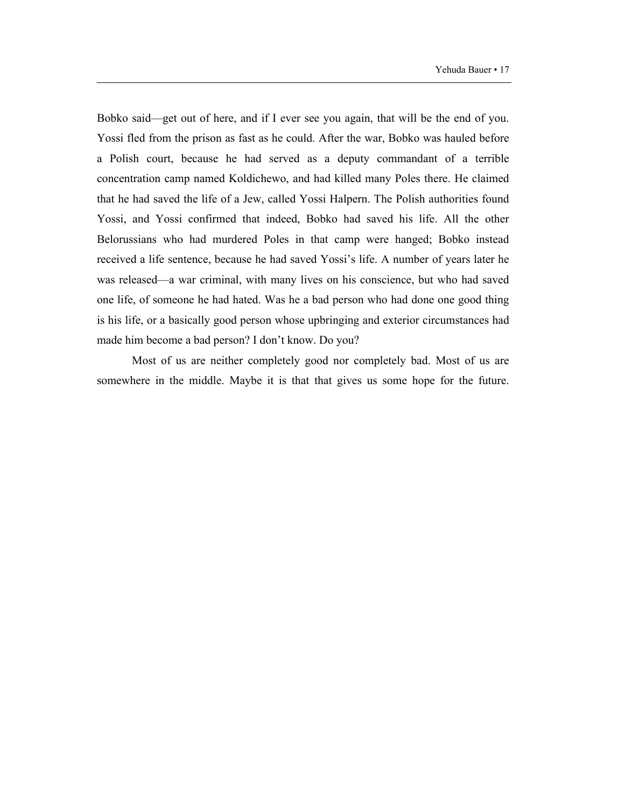Bobko said—get out of here, and if I ever see you again, that will be the end of you. Yossi fled from the prison as fast as he could. After the war, Bobko was hauled before a Polish court, because he had served as a deputy commandant of a terrible concentration camp named Koldichewo, and had killed many Poles there. He claimed that he had saved the life of a Jew, called Yossi Halpern. The Polish authorities found Yossi, and Yossi confirmed that indeed, Bobko had saved his life. All the other Belorussians who had murdered Poles in that camp were hanged; Bobko instead received a life sentence, because he had saved Yossi's life. A number of years later he was released—a war criminal, with many lives on his conscience, but who had saved one life, of someone he had hated. Was he a bad person who had done one good thing is his life, or a basically good person whose upbringing and exterior circumstances had made him become a bad person? I don't know. Do you?

Most of us are neither completely good nor completely bad. Most of us are somewhere in the middle. Maybe it is that that gives us some hope for the future.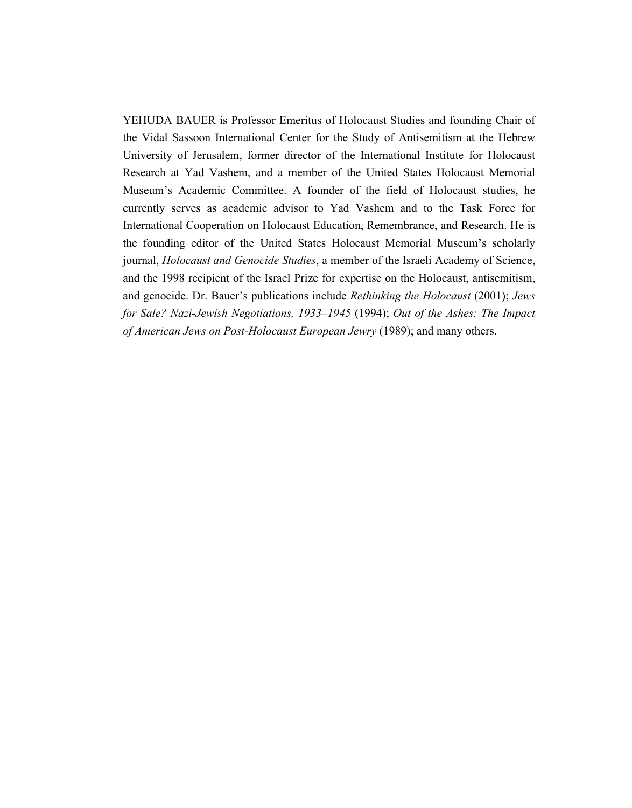YEHUDA BAUER is Professor Emeritus of Holocaust Studies and founding Chair of the Vidal Sassoon International Center for the Study of Antisemitism at the Hebrew University of Jerusalem, former director of the International Institute for Holocaust Research at Yad Vashem, and a member of the United States Holocaust Memorial Museum's Academic Committee. A founder of the field of Holocaust studies, he currently serves as academic advisor to Yad Vashem and to the Task Force for International Cooperation on Holocaust Education, Remembrance, and Research. He is the founding editor of the United States Holocaust Memorial Museum's scholarly journal, *Holocaust and Genocide Studies*, a member of the Israeli Academy of Science, and the 1998 recipient of the Israel Prize for expertise on the Holocaust, antisemitism, and genocide. Dr. Bauer's publications include *Rethinking the Holocaust* (2001); *Jews for Sale? Nazi-Jewish Negotiations, 1933–1945* (1994); *Out of the Ashes: The Impact of American Jews on Post-Holocaust European Jewry* (1989); and many others.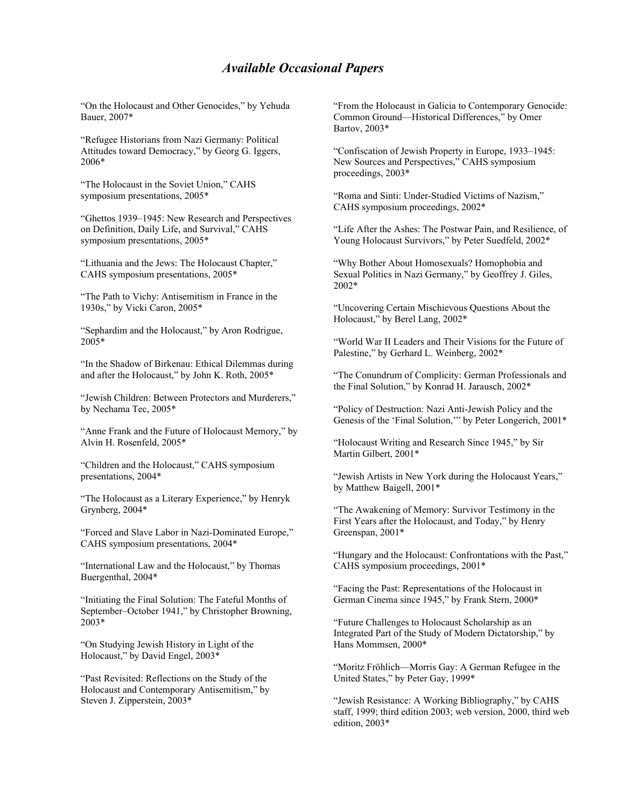## *Available Occasional Papers*

"On the Holocaust and Other Genocides," by Yehuda Bauer, 2007\*

"Refugee Historians from Nazi Germany: Political Attitudes toward Democracy," by Georg G. Iggers, 2006\*

"The Holocaust in the Soviet Union," CAHS symposium presentations, 2005\*

"Ghettos 1939–1945: New Research and Perspectives on Definition, Daily Life, and Survival," CAHS symposium presentations, 2005\*

"Lithuania and the Jews: The Holocaust Chapter," CAHS symposium presentations, 2005\*

"The Path to Vichy: Antisemitism in France in the 1930s," by Vicki Caron, 2005\*

"Sephardim and the Holocaust," by Aron Rodrigue, 2005\*

"In the Shadow of Birkenau: Ethical Dilemmas during and after the Holocaust," by John K. Roth, 2005\*

"Jewish Children: Between Protectors and Murderers," by Nechama Tec, 2005\*

"Anne Frank and the Future of Holocaust Memory," by Alvin H. Rosenfeld, 2005\*

"Children and the Holocaust," CAHS symposium presentations, 2004\*

"The Holocaust as a Literary Experience," by Henryk Grynberg, 2004\*

"Forced and Slave Labor in Nazi-Dominated Europe," CAHS symposium presentations, 2004\*

"International Law and the Holocaust," by Thomas Buergenthal, 2004\*

"Initiating the Final Solution: The Fateful Months of September–October 1941," by Christopher Browning, 2003\*

"On Studying Jewish History in Light of the Holocaust," by David Engel, 2003\*

"Past Revisited: Reflections on the Study of the Holocaust and Contemporary Antisemitism," by Steven J. Zipperstein, 2003\*

"From the Holocaust in Galicia to Contemporary Genocide: Common Ground—Historical Differences," by Omer Bartov, 2003\*

"Confiscation of Jewish Property in Europe, 1933–1945: New Sources and Perspectives," CAHS symposium proceedings, 2003\*

"Roma and Sinti: Under-Studied Victims of Nazism," CAHS symposium proceedings, 2002\*

"Life After the Ashes: The Postwar Pain, and Resilience, of Young Holocaust Survivors," by Peter Suedfeld, 2002\*

"Why Bother About Homosexuals? Homophobia and Sexual Politics in Nazi Germany," by Geoffrey J. Giles, 2002\*

"Uncovering Certain Mischievous Questions About the Holocaust," by Berel Lang, 2002\*

"World War II Leaders and Their Visions for the Future of Palestine," by Gerhard L. Weinberg, 2002\*

"The Conundrum of Complicity: German Professionals and the Final Solution," by Konrad H. Jarausch, 2002\*

"Policy of Destruction: Nazi Anti-Jewish Policy and the Genesis of the 'Final Solution,'" by Peter Longerich, 2001\*

"Holocaust Writing and Research Since 1945," by Sir Martin Gilbert, 2001\*

"Jewish Artists in New York during the Holocaust Years," by Matthew Baigell, 2001\*

"The Awakening of Memory: Survivor Testimony in the First Years after the Holocaust, and Today," by Henry Greenspan, 2001\*

"Hungary and the Holocaust: Confrontations with the Past," CAHS symposium proceedings, 2001\*

"Facing the Past: Representations of the Holocaust in German Cinema since 1945," by Frank Stern, 2000\*

"Future Challenges to Holocaust Scholarship as an Integrated Part of the Study of Modern Dictatorship," by Hans Mommsen, 2000\*

"Moritz Fröhlich—Morris Gay: A German Refugee in the United States," by Peter Gay, 1999\*

"Jewish Resistance: A Working Bibliography," by CAHS staff, 1999; third edition 2003; web version, 2000, third web edition, 2003\*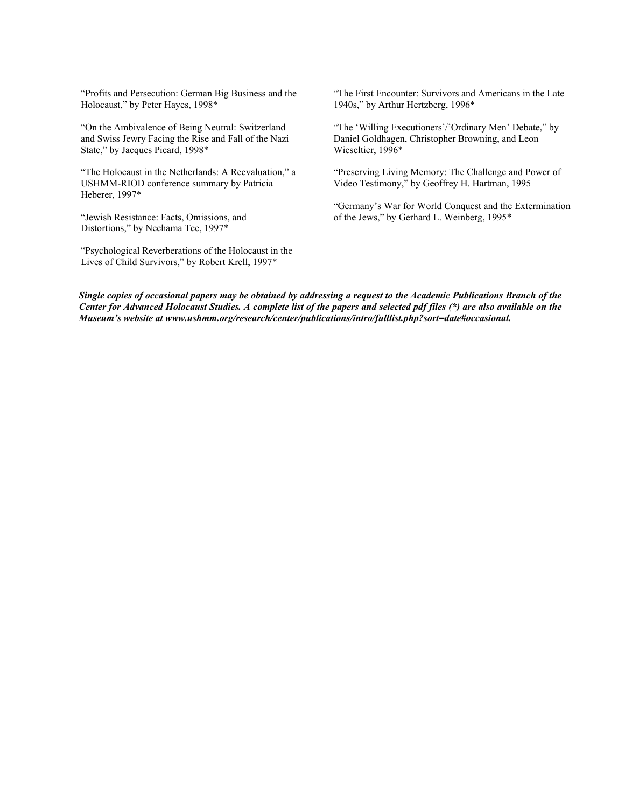"Profits and Persecution: German Big Business and the Holocaust," by Peter Hayes, 1998\*

"On the Ambivalence of Being Neutral: Switzerland and Swiss Jewry Facing the Rise and Fall of the Nazi State," by Jacques Picard, 1998\*

"The Holocaust in the Netherlands: A Reevaluation," a USHMM-RIOD conference summary by Patricia Heberer, 1997\*

"Jewish Resistance: Facts, Omissions, and Distortions," by Nechama Tec, 1997\*

"Psychological Reverberations of the Holocaust in the Lives of Child Survivors," by Robert Krell, 1997\*

"The First Encounter: Survivors and Americans in the Late 1940s," by Arthur Hertzberg, 1996\*

"The 'Willing Executioners'/'Ordinary Men' Debate," by Daniel Goldhagen, Christopher Browning, and Leon Wieseltier, 1996\*

"Preserving Living Memory: The Challenge and Power of Video Testimony," by Geoffrey H. Hartman, 1995

"Germany's War for World Conquest and the Extermination of the Jews," by Gerhard L. Weinberg, 1995\*

*Single copies of occasional papers may be obtained by addressing a request to the Academic Publications Branch of the Center for Advanced Holocaust Studies. A complete list of the papers and selected pdf files (\*) are also available on the Museum's website at www.ushmm.org/research/center/publications/intro/fulllist.php?sort=date#occasional.*